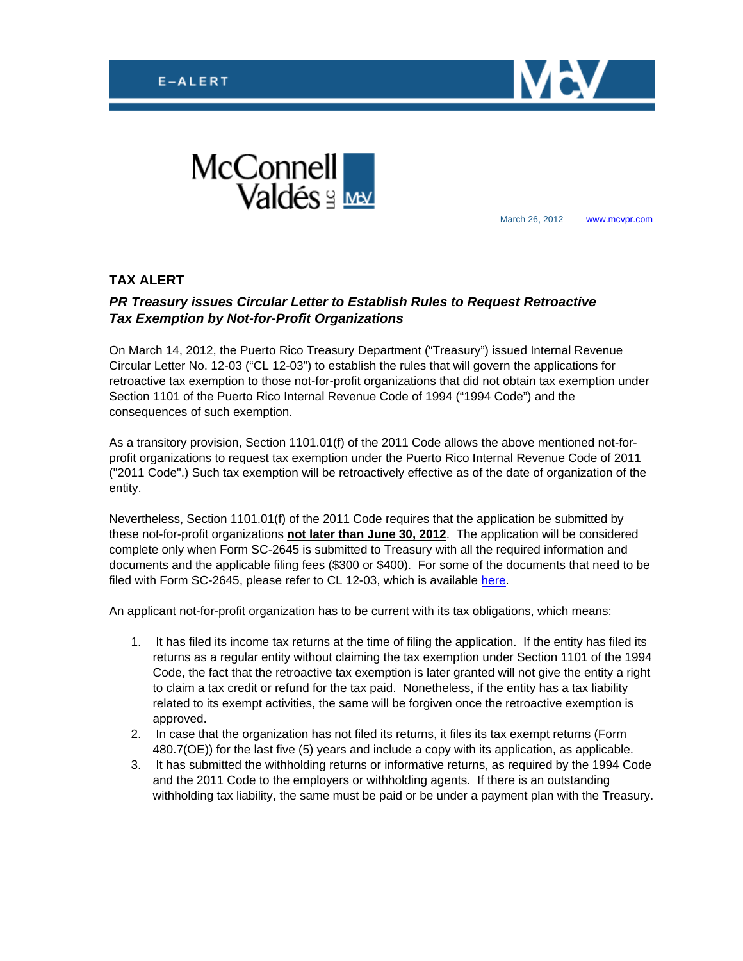



March 26, 2012 [www.mcvpr.com](http://www.mcvpr.com/)

## **TAX ALERT**

## *PR Treasury issues Circular Letter to Establish Rules to Request Retroactive Tax Exemption by Not-for-Profit Organizations*

On March 14, 2012, the Puerto Rico Treasury Department ("Treasury") issued Internal Revenue Circular Letter No. 12-03 ("CL 12-03") to establish the rules that will govern the applications for retroactive tax exemption to those not-for-profit organizations that did not obtain tax exemption under Section 1101 of the Puerto Rico Internal Revenue Code of 1994 ("1994 Code") and the consequences of such exemption.

As a transitory provision, Section 1101.01(f) of the 2011 Code allows the above mentioned not-forprofit organizations to request tax exemption under the Puerto Rico Internal Revenue Code of 2011 ("2011 Code".) Such tax exemption will be retroactively effective as of the date of organization of the entity.

Nevertheless, Section 1101.01(f) of the 2011 Code requires that the application be submitted by these not-for-profit organizations **not later than June 30, 2012**. The application will be considered complete only when Form SC-2645 is submitted to Treasury with all the required information and documents and the applicable filing fees (\$300 or \$400). For some of the documents that need to be filed with Form SC-2645, please refer to CL 12-03, which is available [here.](https://196.32.158.152/clients/taxalerts/CI_12-03.pdf)

An applicant not-for-profit organization has to be current with its tax obligations, which means:

- 1. It has filed its income tax returns at the time of filing the application. If the entity has filed its returns as a regular entity without claiming the tax exemption under Section 1101 of the 1994 Code, the fact that the retroactive tax exemption is later granted will not give the entity a right to claim a tax credit or refund for the tax paid. Nonetheless, if the entity has a tax liability related to its exempt activities, the same will be forgiven once the retroactive exemption is approved.
- 2. In case that the organization has not filed its returns, it files its tax exempt returns (Form 480.7(OE)) for the last five (5) years and include a copy with its application, as applicable.
- 3. It has submitted the withholding returns or informative returns, as required by the 1994 Code and the 2011 Code to the employers or withholding agents. If there is an outstanding withholding tax liability, the same must be paid or be under a payment plan with the Treasury.